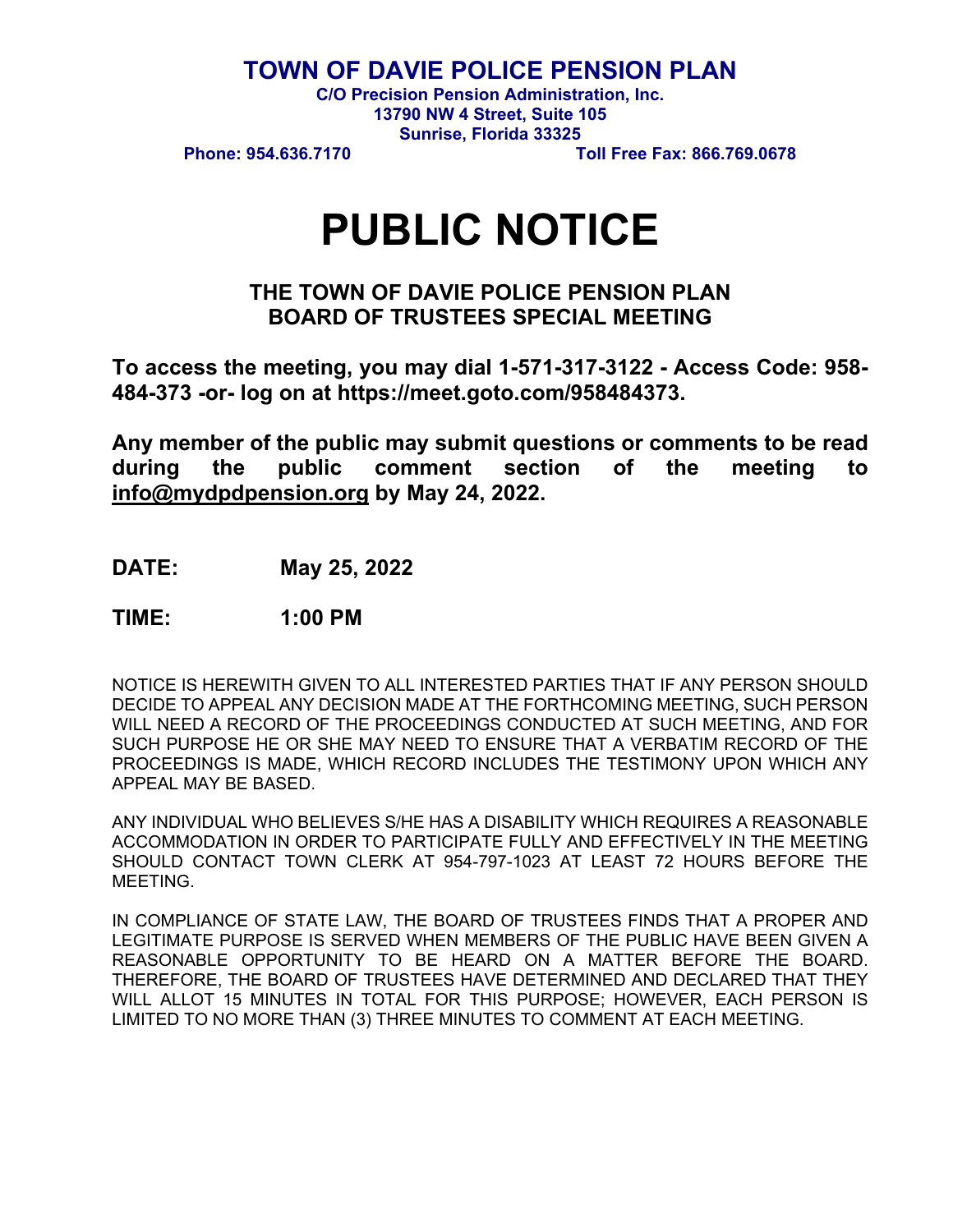**TOWN OF DAVIE POLICE PENSION PLAN** 

**C/O Precision Pension Administration, Inc. 13790 NW 4 Street, Suite 105 Sunrise, Florida 33325** 

**Phone: 954.636.7170 Toll Free Fax: 866.769.0678** 

# **PUBLIC NOTICE**

## **THE TOWN OF DAVIE POLICE PENSION PLAN BOARD OF TRUSTEES SPECIAL MEETING**

**To access the meeting, you may dial 1-571-317-3122 - Access Code: 958- 484-373 -or- log on at https://meet.goto.com/958484373.** 

**Any member of the public may submit questions or comments to be read during the public comment section of the meeting to info@mydpdpension.org by May 24, 2022.** 

**DATE: May 25, 2022** 

**TIME: 1:00 PM** 

NOTICE IS HEREWITH GIVEN TO ALL INTERESTED PARTIES THAT IF ANY PERSON SHOULD DECIDE TO APPEAL ANY DECISION MADE AT THE FORTHCOMING MEETING, SUCH PERSON WILL NEED A RECORD OF THE PROCEEDINGS CONDUCTED AT SUCH MEETING, AND FOR SUCH PURPOSE HE OR SHE MAY NEED TO ENSURE THAT A VERBATIM RECORD OF THE PROCEEDINGS IS MADE, WHICH RECORD INCLUDES THE TESTIMONY UPON WHICH ANY APPEAL MAY BE BASED.

ANY INDIVIDUAL WHO BELIEVES S/HE HAS A DISABILITY WHICH REQUIRES A REASONABLE ACCOMMODATION IN ORDER TO PARTICIPATE FULLY AND EFFECTIVELY IN THE MEETING SHOULD CONTACT TOWN CLERK AT 954-797-1023 AT LEAST 72 HOURS BEFORE THE MEETING.

IN COMPLIANCE OF STATE LAW, THE BOARD OF TRUSTEES FINDS THAT A PROPER AND LEGITIMATE PURPOSE IS SERVED WHEN MEMBERS OF THE PUBLIC HAVE BEEN GIVEN A REASONABLE OPPORTUNITY TO BE HEARD ON A MATTER BEFORE THE BOARD. THEREFORE, THE BOARD OF TRUSTEES HAVE DETERMINED AND DECLARED THAT THEY WILL ALLOT 15 MINUTES IN TOTAL FOR THIS PURPOSE; HOWEVER, EACH PERSON IS LIMITED TO NO MORE THAN (3) THREE MINUTES TO COMMENT AT EACH MEETING.